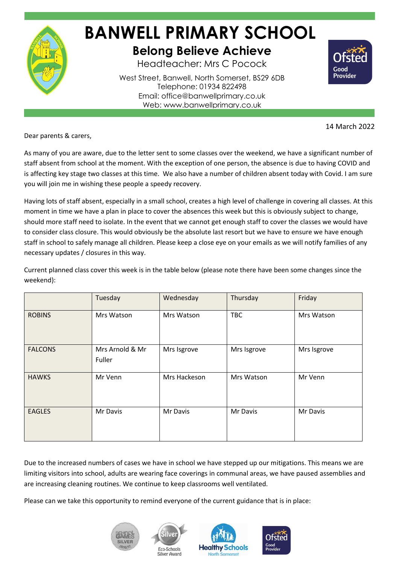

## **BANWELL PRIMARY SCHOOL Belong Believe Achieve**

Headteacher: Mrs C Pocock

West Street, Banwell, North Somerset, BS29 6DB Telephone: 01934 822498 Email: office@banwellprimary.co.uk Web: www.banwellprimary.co.uk



14 March 2022

Dear parents & carers,

As many of you are aware, due to the letter sent to some classes over the weekend, we have a significant number of staff absent from school at the moment. With the exception of one person, the absence is due to having COVID and is affecting key stage two classes at this time. We also have a number of children absent today with Covid. I am sure you will join me in wishing these people a speedy recovery.

Having lots of staff absent, especially in a small school, creates a high level of challenge in covering all classes. At this moment in time we have a plan in place to cover the absences this week but this is obviously subject to change, should more staff need to isolate. In the event that we cannot get enough staff to cover the classes we would have to consider class closure. This would obviously be the absolute last resort but we have to ensure we have enough staff in school to safely manage all children. Please keep a close eye on your emails as we will notify families of any necessary updates / closures in this way.

Current planned class cover this week is in the table below (please note there have been some changes since the weekend):

|                | Tuesday                   | Wednesday    | Thursday    | Friday      |
|----------------|---------------------------|--------------|-------------|-------------|
| <b>ROBINS</b>  | Mrs Watson                | Mrs Watson   | <b>TBC</b>  | Mrs Watson  |
| <b>FALCONS</b> | Mrs Arnold & Mr<br>Fuller | Mrs Isgrove  | Mrs Isgrove | Mrs Isgrove |
| <b>HAWKS</b>   | Mr Venn                   | Mrs Hackeson | Mrs Watson  | Mr Venn     |
| <b>EAGLES</b>  | Mr Davis                  | Mr Davis     | Mr Davis    | Mr Davis    |

Due to the increased numbers of cases we have in school we have stepped up our mitigations. This means we are limiting visitors into school, adults are wearing face coverings in communal areas, we have paused assemblies and are increasing cleaning routines. We continue to keep classrooms well ventilated.

Please can we take this opportunity to remind everyone of the current guidance that is in place: